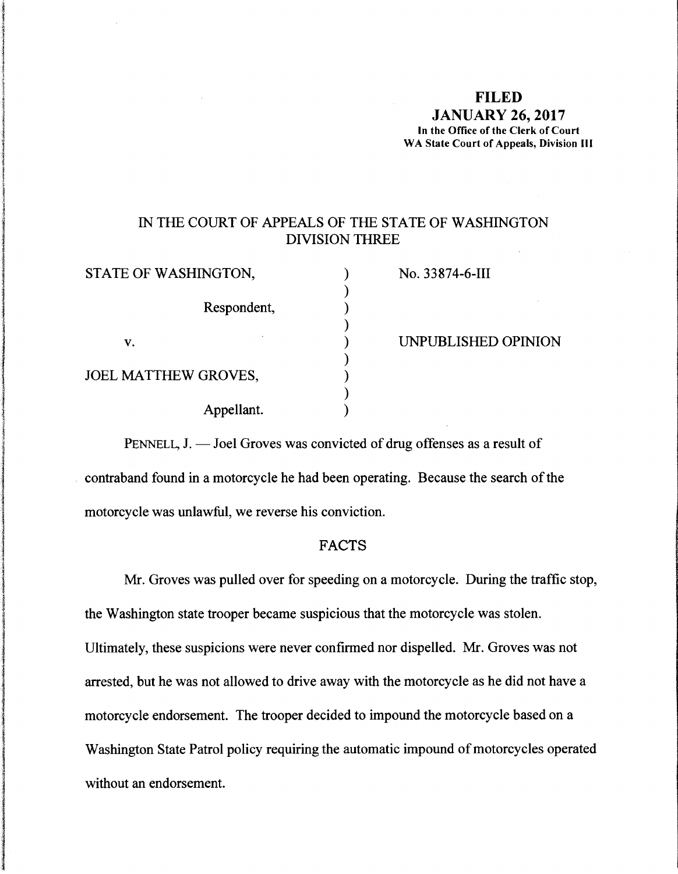#### **FILED**

**JANUARY 26, 2017 In the Office of the Clerk of Court WA State Court of Appeals, Division** Ill

## IN THE COURT OF APPEALS OF THE STATE OF WASHINGTON DIVISION THREE

| STATE OF WASHINGTON,        | No. 33874-6-III     |
|-----------------------------|---------------------|
|                             |                     |
| Respondent,                 |                     |
|                             |                     |
| V.                          | UNPUBLISHED OPINION |
|                             |                     |
| <b>JOEL MATTHEW GROVES,</b> |                     |
|                             |                     |
| Appellant.                  |                     |
|                             |                     |

PENNELL, J. — Joel Groves was convicted of drug offenses as a result of contraband found in a motorcycle he had been operating. Because the search of the motorcycle was unlawful, we reverse his conviction.

#### FACTS

Mr. Groves was pulled over for speeding on a motorcycle. During the traffic stop, the Washington state trooper became suspicious that the motorcycle was stolen. Ultimately, these suspicions were never confirmed nor dispelled. Mr. Groves was not arrested, but he was not allowed to drive away with the motorcycle as he did not have a motorcycle endorsement. The trooper decided to impound the motorcycle based on a Washington State Patrol policy requiring the automatic impound of motorcycles operated without an endorsement.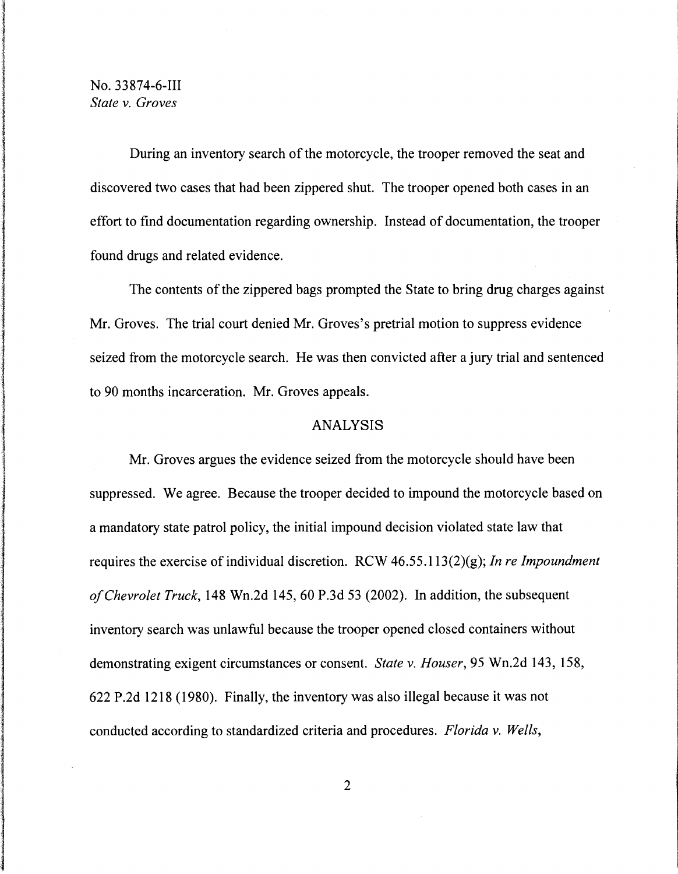# No. 33874-6-111 *State v. Groves*

During an inventory search of the motorcycle, the trooper removed the seat and discovered two cases that had been zippered shut. The trooper opened both cases in an effort to find documentation regarding ownership. Instead of documentation, the trooper found drugs and related evidence.

The contents of the zippered bags prompted the State to bring drug charges against Mr. Groves. The trial court denied Mr. Groves's pretrial motion to suppress evidence seized from the motorcycle search. He was then convicted after a jury trial and sentenced to 90 months incarceration. Mr. Groves appeals.

### ANALYSIS

Mr. Groves argues the evidence seized from the motorcycle should have been suppressed. We agree. Because the trooper decided to impound the motorcycle based on a mandatory state patrol policy, the initial impound decision violated state law that requires the exercise of individual discretion. RCW 46.55. l 13(2)(g); *In re Impoundment of Chevrolet Truck,* 148 Wn.2d 145, 60 P.3d 53 (2002). In addition, the subsequent inventory search was unlawful because the trooper opened closed containers without demonstrating exigent circumstances or consent. *State v. Houser,* 95 Wn.2d 143, 158, 622 P.2d 1218 (1980). Finally, the inventory was also illegal because it was not conducted according to standardized criteria and procedures. *Florida v. Wells,*